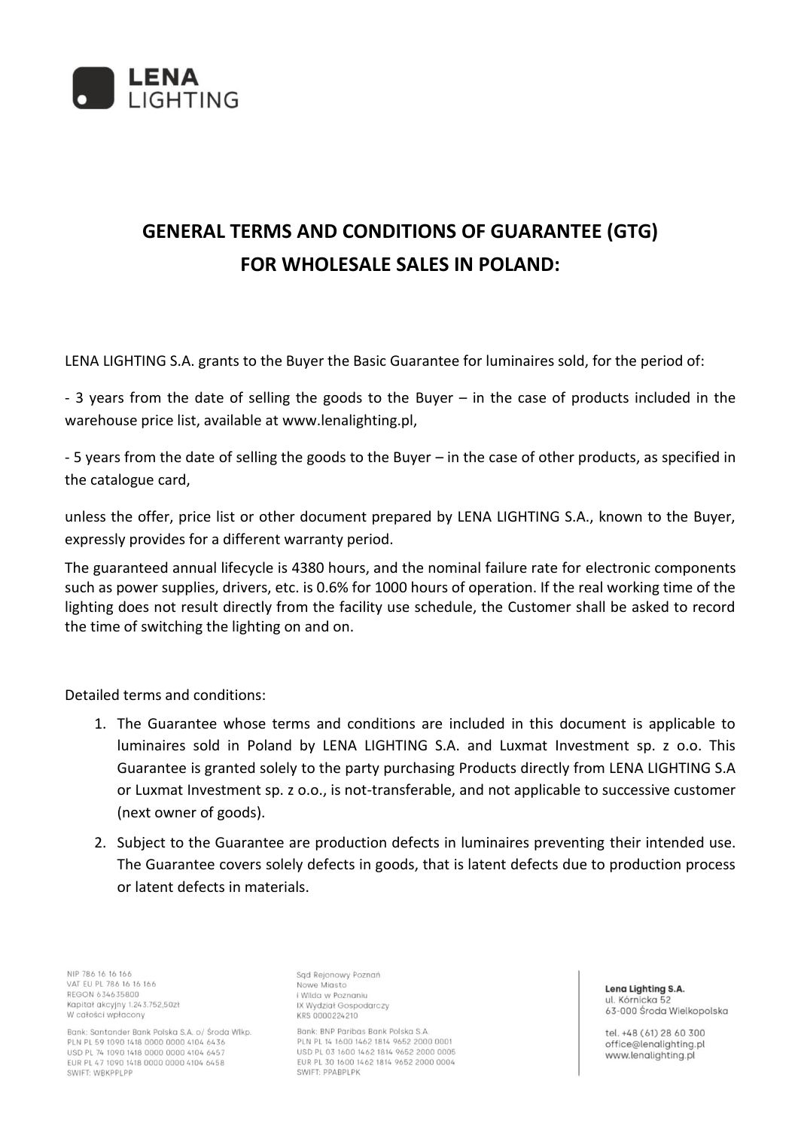

## **GENERAL TERMS AND CONDITIONS OF GUARANTEE (GTG) FOR WHOLESALE SALES IN POLAND:**

LENA LIGHTING S.A. grants to the Buyer the Basic Guarantee for luminaires sold, for the period of:

- 3 years from the date of selling the goods to the Buyer – in the case of products included in the warehouse price list, available at [www.lenalighting.pl,](http://www.lenalighting.pl/)

- 5 years from the date of selling the goods to the Buyer – in the case of other products, as specified in the catalogue card,

unless the offer, price list or other document prepared by LENA LIGHTING S.A., known to the Buyer, expressly provides for a different warranty period.

The guaranteed annual lifecycle is 4380 hours, and the nominal failure rate for electronic components such as power supplies, drivers, etc. is 0.6% for 1000 hours of operation. If the real working time of the lighting does not result directly from the facility use schedule, the Customer shall be asked to record the time of switching the lighting on and on.

Detailed terms and conditions:

- 1. The Guarantee whose terms and conditions are included in this document is applicable to luminaires sold in Poland by LENA LIGHTING S.A. and Luxmat Investment sp. z o.o. This Guarantee is granted solely to the party purchasing Products directly from LENA LIGHTING S.A or Luxmat Investment sp. z o.o., is not-transferable, and not applicable to successive customer (next owner of goods).
- 2. Subject to the Guarantee are production defects in luminaires preventing their intended use. The Guarantee covers solely defects in goods, that is latent defects due to production process or latent defects in materials.

NIP 786 16 16 166 VAT EU PL 786 16 16 166 REGON 634635800 Kapitał akcyjny 1.243.752,50zł W całości wpłacony

Bank: Santander Bank Polska S.A. o/ Środa Wlkp. PLN PL 59 1090 1418 0000 0000 4104 6436 USD PL 74 1090 1418 0000 0000 4104 6457 EUR PL 47 1090 1418 0000 0000 4104 6458 SWIFT: WBKPPLPP

Sąd Rejonowy Poznań Nowe Miasto i Wilda w Poznaniu IX Wydział Gospodarczy KRS 0000224210

Bank: BNP Paribas Bank Polska S.A PLN PL 14 1600 1462 1814 9652 2000 0001 USD PL 03 1600 1462 1814 9652 2000 0005 EUR PL 30 1600 1462 1814 9652 2000 0004 SWIFT: PPABPLPK

Lena Lighting S.A. ul. Kórnicka 52 63-000 Środa Wielkopolska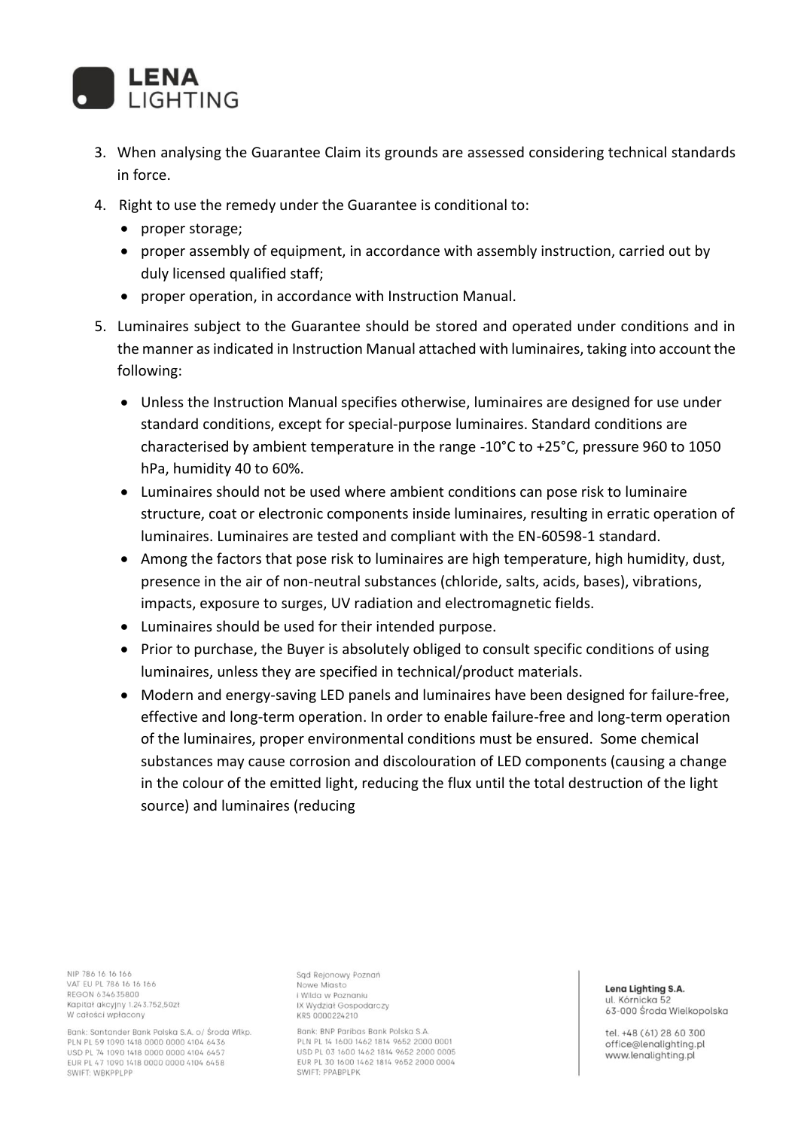

- 3. When analysing the Guarantee Claim its grounds are assessed considering technical standards in force.
- 4. Right to use the remedy under the Guarantee is conditional to:
	- proper storage;
	- proper assembly of equipment, in accordance with assembly instruction, carried out by duly licensed qualified staff;
	- proper operation, in accordance with Instruction Manual.
- 5. Luminaires subject to the Guarantee should be stored and operated under conditions and in the manner as indicated in Instruction Manual attached with luminaires, taking into account the following:
	- Unless the Instruction Manual specifies otherwise, luminaires are designed for use under standard conditions, except for special-purpose luminaires. Standard conditions are characterised by ambient temperature in the range -10°C to +25°C, pressure 960 to 1050 hPa, humidity 40 to 60%.
	- Luminaires should not be used where ambient conditions can pose risk to luminaire structure, coat or electronic components inside luminaires, resulting in erratic operation of luminaires. Luminaires are tested and compliant with the EN-60598-1 standard.
	- Among the factors that pose risk to luminaires are high temperature, high humidity, dust, presence in the air of non-neutral substances (chloride, salts, acids, bases), vibrations, impacts, exposure to surges, UV radiation and electromagnetic fields.
	- Luminaires should be used for their intended purpose.
	- Prior to purchase, the Buyer is absolutely obliged to consult specific conditions of using luminaires, unless they are specified in technical/product materials.
	- Modern and energy-saving LED panels and luminaires have been designed for failure-free, effective and long-term operation. In order to enable failure-free and long-term operation of the luminaires, proper environmental conditions must be ensured. Some chemical substances may cause corrosion and discolouration of LED components (causing a change in the colour of the emitted light, reducing the flux until the total destruction of the light source) and luminaires (reducing

NIP 786 16 16 166 VAT EU PL 786 16 16 166 REGON 634635800 Kapitał akcyjny 1.243.752,50zł W całości wpłacony

Bank: Santander Bank Polska S.A. o/ Środa Wlkp. PLN PL 59 1090 1418 0000 0000 4104 6436 USD PL 74 1090 1418 0000 0000 4104 6457 EUR PL 47 1090 1418 0000 0000 4104 6458 SWIFT: WBKPPLPP

Sąd Rejonowy Poznań Nowe Miasto i Wilda w Poznaniu IX Wydział Gospodarczy KRS 0000224210

Bank: BNP Paribas Bank Polska S.A PLN PL 14 1600 1462 1814 9652 2000 0001 USD PL 03 1600 1462 1814 9652 2000 0005 EUR PL 30 1600 1462 1814 9652 2000 0004 SWIFT: PPABPLPK

## Lena Lighting S.A. ul. Kórnicka 52 63-000 Środa Wielkopolska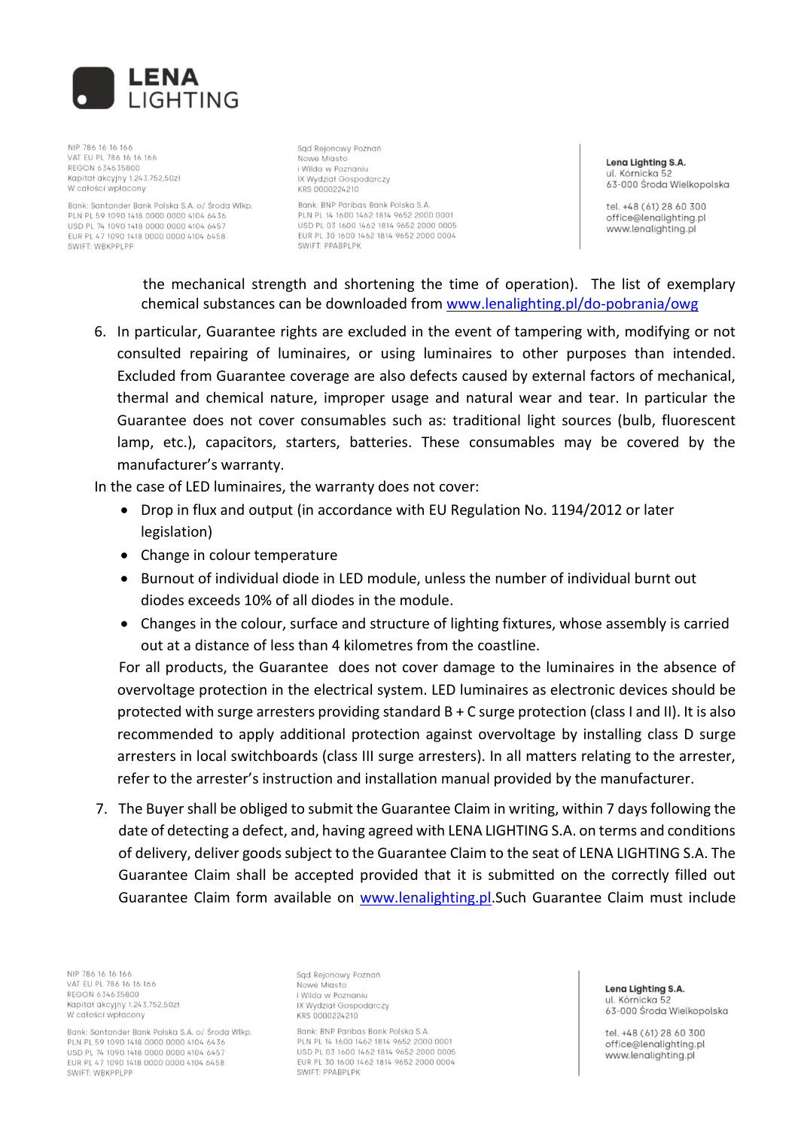

NIP 786 16 16 166 VAT EU PL 786 16 16 166 REGON 634635800 Kapitał akcyjny 1.243.752,50zł W całości wpłacony

Bank: Santander Bank Polska S.A. o/ Środa Wikp PLN PL 59 1090 1418 0000 0000 4104 6436 USD PL 74 1090 1418 0000 0000 4104 6457 EUR PL 47 1090 1418 0000 0000 4104 6458 SWIFT: WBKPPLPP

Sad Rejonowy Poznań Nowe Miasto i Wilda w Poznaniu IX Wydział Gospodarczy KRS 0000224210

Bank: BNP Paribas Bank Polska S.A. PLN PL 14 1600 1462 1814 9652 2000 0001 USD PL 03 1600 1462 1814 9652 2000 0005 FUR PL 30 1600 1462 1814 9652 2000 0004 SWIFT: PPABPLPK

Lena Lighting S.A. ul. Kórnicka 52 63-000 Środa Wielkopolska

tel. +48 (61) 28 60 300 office@lenalighting.pl www.lenalighting.pl

the mechanical strength and shortening the time of operation). The list of exemplary chemical substances can be downloaded from [www.lenalighting.pl/do-pobrania/owg](http://www.lenalighting.pl/do-pobrania/owg)

6. In particular, Guarantee rights are excluded in the event of tampering with, modifying or not consulted repairing of luminaires, or using luminaires to other purposes than intended. Excluded from Guarantee coverage are also defects caused by external factors of mechanical, thermal and chemical nature, improper usage and natural wear and tear. In particular the Guarantee does not cover consumables such as: traditional light sources (bulb, fluorescent lamp, etc.), capacitors, starters, batteries. These consumables may be covered by the manufacturer's warranty.

In the case of LED luminaires, the warranty does not cover:

- Drop in flux and output (in accordance with EU Regulation No. 1194/2012 or later legislation)
- Change in colour temperature
- Burnout of individual diode in LED module, unless the number of individual burnt out diodes exceeds 10% of all diodes in the module.
- Changes in the colour, surface and structure of lighting fixtures, whose assembly is carried out at a distance of less than 4 kilometres from the coastline.

For all products, the Guarantee does not cover damage to the luminaires in the absence of overvoltage protection in the electrical system. LED luminaires as electronic devices should be protected with surge arresters providing standard B + C surge protection (class I and II). It is also recommended to apply additional protection against overvoltage by installing class D surge arresters in local switchboards (class III surge arresters). In all matters relating to the arrester, refer to the arrester's instruction and installation manual provided by the manufacturer.

7. The Buyer shall be obliged to submit the Guarantee Claim in writing, within 7 days following the date of detecting a defect, and, having agreed with LENA LIGHTING S.A. on terms and conditions of delivery, deliver goods subject to the Guarantee Claim to the seat of LENA LIGHTING S.A. The Guarantee Claim shall be accepted provided that it is submitted on the correctly filled out Guarantee Claim form available on [www.lenalighting.pl.Su](http://www.lenalighting.pl/)ch Guarantee Claim must include

NIP 786 16 16 166 VAT EU PL 786 16 16 166 REGON 634635800 Kapitał akcyjny 1.243.752,50zł W całości wpłacony

Bank: Santander Bank Polska S.A. o/ Środa Wlkp. PLN PL 59 1090 1418 0000 0000 4104 6436 USD PL 74 1090 1418 0000 0000 4104 6457 EUR PL 47 1090 1418 0000 0000 4104 6458 SWIFT: WBKPPLPP

Sąd Rejonowy Poznań Nowe Miasto i Wilda w Poznaniu IX Wydział Gospodarczy KRS 0000224210

Bank: BNP Paribas Bank Polska S.A PLN PL 14 1600 1462 1814 9652 2000 0001 USD PL 03 1600 1462 1814 9652 2000 0005 EUR PL 30 1600 1462 1814 9652 2000 0004 SWIFT: PPABPLPK

Lena Lighting S.A. ul. Kórnicka 52 63-000 Środa Wielkopolska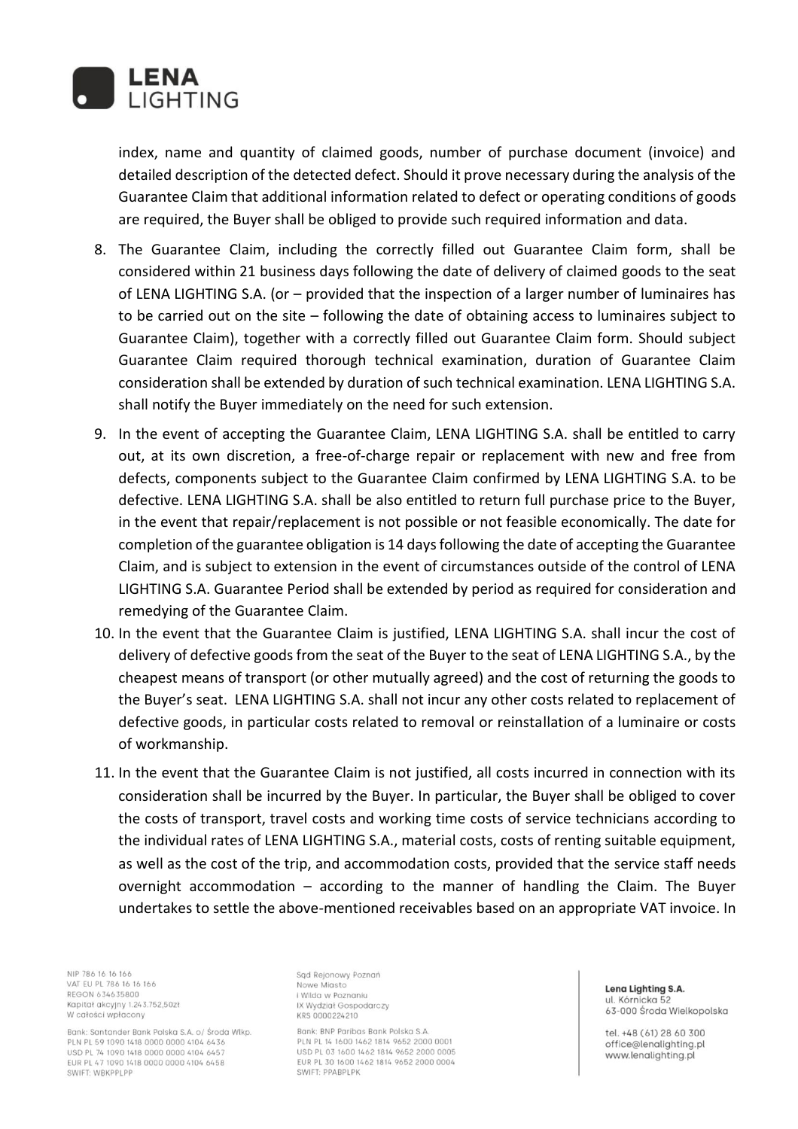

index, name and quantity of claimed goods, number of purchase document (invoice) and detailed description of the detected defect. Should it prove necessary during the analysis of the Guarantee Claim that additional information related to defect or operating conditions of goods are required, the Buyer shall be obliged to provide such required information and data.

- 8. The Guarantee Claim, including the correctly filled out Guarantee Claim form, shall be considered within 21 business days following the date of delivery of claimed goods to the seat of LENA LIGHTING S.A. (or – provided that the inspection of a larger number of luminaires has to be carried out on the site – following the date of obtaining access to luminaires subject to Guarantee Claim), together with a correctly filled out Guarantee Claim form. Should subject Guarantee Claim required thorough technical examination, duration of Guarantee Claim consideration shall be extended by duration of such technical examination. LENA LIGHTING S.A. shall notify the Buyer immediately on the need for such extension.
- 9. In the event of accepting the Guarantee Claim, LENA LIGHTING S.A. shall be entitled to carry out, at its own discretion, a free-of-charge repair or replacement with new and free from defects, components subject to the Guarantee Claim confirmed by LENA LIGHTING S.A. to be defective. LENA LIGHTING S.A. shall be also entitled to return full purchase price to the Buyer, in the event that repair/replacement is not possible or not feasible economically. The date for completion of the guarantee obligation is 14 days following the date of accepting the Guarantee Claim, and is subject to extension in the event of circumstances outside of the control of LENA LIGHTING S.A. Guarantee Period shall be extended by period as required for consideration and remedying of the Guarantee Claim.
- 10. In the event that the Guarantee Claim is justified, LENA LIGHTING S.A. shall incur the cost of delivery of defective goods from the seat of the Buyer to the seat of LENA LIGHTING S.A., by the cheapest means of transport (or other mutually agreed) and the cost of returning the goods to the Buyer's seat. LENA LIGHTING S.A. shall not incur any other costs related to replacement of defective goods, in particular costs related to removal or reinstallation of a luminaire or costs of workmanship.
- 11. In the event that the Guarantee Claim is not justified, all costs incurred in connection with its consideration shall be incurred by the Buyer. In particular, the Buyer shall be obliged to cover the costs of transport, travel costs and working time costs of service technicians according to the individual rates of LENA LIGHTING S.A., material costs, costs of renting suitable equipment, as well as the cost of the trip, and accommodation costs, provided that the service staff needs overnight accommodation – according to the manner of handling the Claim. The Buyer undertakes to settle the above-mentioned receivables based on an appropriate VAT invoice. In

NIP 786 16 16 166 VAT EU PL 786 16 16 166 REGON 634635800 Kapitał akcyjny 1.243.752,50zł W całości wpłacony

Bank: Santander Bank Polska S.A. o/ Środa Wlkp. PLN PL 59 1090 1418 0000 0000 4104 6436 USD PL 74 1090 1418 0000 0000 4104 6457 EUR PL 47 1090 1418 0000 0000 4104 6458 SWIFT: WBKPPLPP

Sąd Rejonowy Poznań Nowe Miasto i Wilda w Poznaniu IX Wydział Gospodarczy KRS 0000224210

Bank: BNP Paribas Bank Polska S.A PLN PL 14 1600 1462 1814 9652 2000 0001 USD PL 03 1600 1462 1814 9652 2000 0005 EUR PL 30 1600 1462 1814 9652 2000 0004 SWIFT: PPABPLPK

Lena Lighting S.A. ul. Kórnicka 52 63-000 Środa Wielkopolska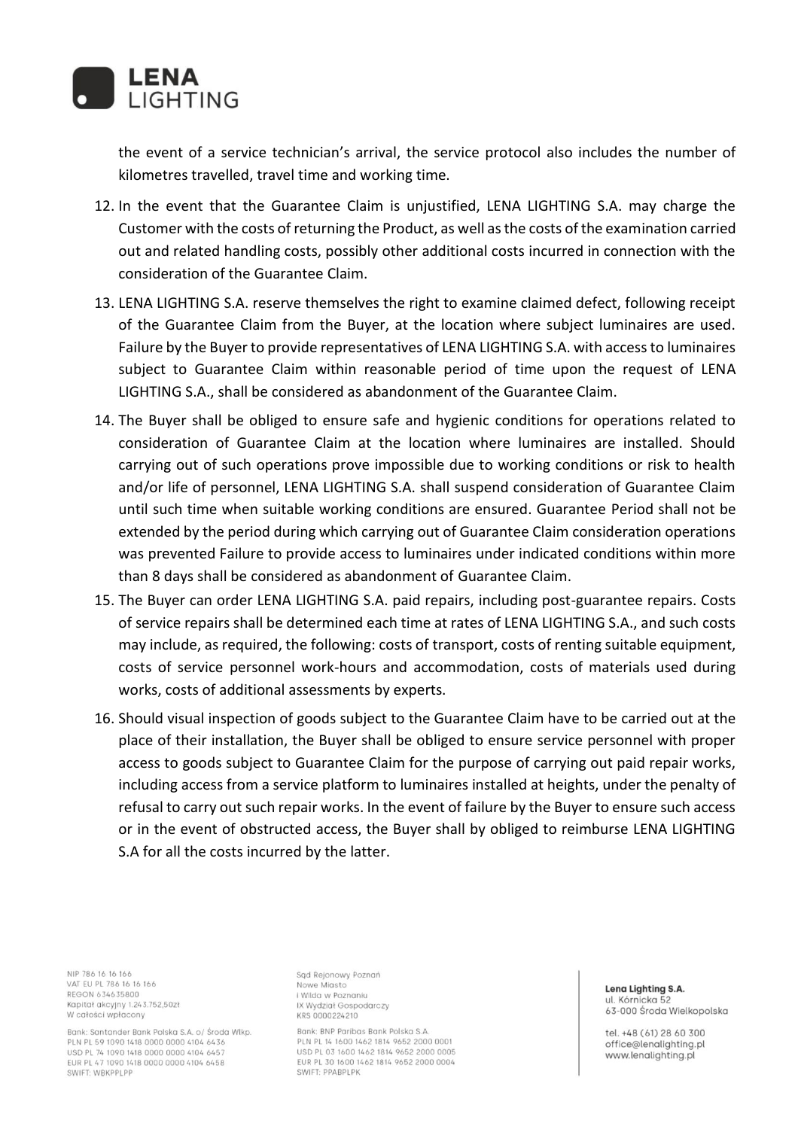

the event of a service technician's arrival, the service protocol also includes the number of kilometres travelled, travel time and working time.

- 12. In the event that the Guarantee Claim is unjustified, LENA LIGHTING S.A. may charge the Customer with the costs of returning the Product, as well as the costs of the examination carried out and related handling costs, possibly other additional costs incurred in connection with the consideration of the Guarantee Claim.
- 13. LENA LIGHTING S.A. reserve themselves the right to examine claimed defect, following receipt of the Guarantee Claim from the Buyer, at the location where subject luminaires are used. Failure by the Buyer to provide representatives of LENA LIGHTING S.A. with access to luminaires subject to Guarantee Claim within reasonable period of time upon the request of LENA LIGHTING S.A., shall be considered as abandonment of the Guarantee Claim.
- 14. The Buyer shall be obliged to ensure safe and hygienic conditions for operations related to consideration of Guarantee Claim at the location where luminaires are installed. Should carrying out of such operations prove impossible due to working conditions or risk to health and/or life of personnel, LENA LIGHTING S.A. shall suspend consideration of Guarantee Claim until such time when suitable working conditions are ensured. Guarantee Period shall not be extended by the period during which carrying out of Guarantee Claim consideration operations was prevented Failure to provide access to luminaires under indicated conditions within more than 8 days shall be considered as abandonment of Guarantee Claim.
- 15. The Buyer can order LENA LIGHTING S.A. paid repairs, including post-guarantee repairs. Costs of service repairs shall be determined each time at rates of LENA LIGHTING S.A., and such costs may include, as required, the following: costs of transport, costs of renting suitable equipment, costs of service personnel work-hours and accommodation, costs of materials used during works, costs of additional assessments by experts.
- 16. Should visual inspection of goods subject to the Guarantee Claim have to be carried out at the place of their installation, the Buyer shall be obliged to ensure service personnel with proper access to goods subject to Guarantee Claim for the purpose of carrying out paid repair works, including access from a service platform to luminaires installed at heights, under the penalty of refusal to carry out such repair works. In the event of failure by the Buyer to ensure such access or in the event of obstructed access, the Buyer shall by obliged to reimburse LENA LIGHTING S.A for all the costs incurred by the latter.

NIP 786 16 16 166 VAT EU PL 786 16 16 166 REGON 634635800 Kapitał akcyjny 1.243.752,50zł W całości wpłacony

Bank: Santander Bank Polska S.A. o/ Środa Wlkp. PLN PL 59 1090 1418 0000 0000 4104 6436 USD PL 74 1090 1418 0000 0000 4104 6457 EUR PL 47 1090 1418 0000 0000 4104 6458 SWIFT: WBKPPLPP

Sąd Rejonowy Poznań Nowe Miasto i Wilda w Poznaniu IX Wydział Gospodarczy KRS 0000224210

Bank: BNP Paribas Bank Polska S.A PLN PL 14 1600 1462 1814 9652 2000 0001 USD PL 03 1600 1462 1814 9652 2000 0005 EUR PL 30 1600 1462 1814 9652 2000 0004 SWIFT: PPABPLPK

Lena Lighting S.A. ul. Kórnicka 52 63-000 Środa Wielkopolska